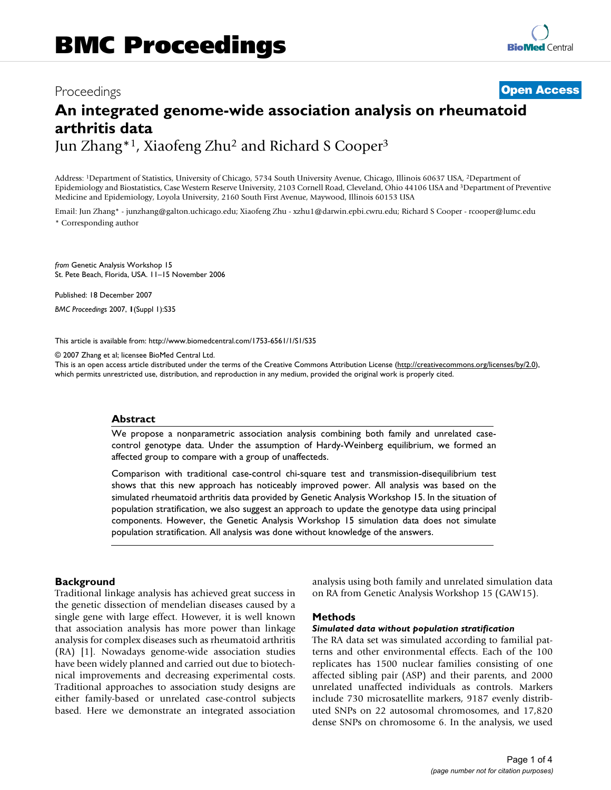# Proceedings **[Open Access](http://www.biomedcentral.com/info/about/charter/) An integrated genome-wide association analysis on rheumatoid arthritis data** Jun Zhang\*1, Xiaofeng Zhu2 and Richard S Cooper3

Address: 1Department of Statistics, University of Chicago, 5734 South University Avenue, Chicago, Illinois 60637 USA, 2Department of

Epidemiology and Biostatistics, Case Western Reserve University, 2103 Cornell Road, Cleveland, Ohio 44106 USA and 3Department of Preventive Medicine and Epidemiology, Loyola University, 2160 South First Avenue, Maywood, Illinois 60153 USA

Email: Jun Zhang\* - junzhang@galton.uchicago.edu; Xiaofeng Zhu - xzhu1@darwin.epbi.cwru.edu; Richard S Cooper - rcooper@lumc.edu \* Corresponding author

*from* Genetic Analysis Workshop 15 St. Pete Beach, Florida, USA. 11–15 November 2006

Published: 18 December 2007

*BMC Proceedings* 2007, **1**(Suppl 1):S35

[This article is available from: http://www.biomedcentral.com/1753-6561/1/S1/S35](http://www.biomedcentral.com/1753-6561/1/S1/S35)

© 2007 Zhang et al; licensee BioMed Central Ltd.

This is an open access article distributed under the terms of the Creative Commons Attribution License [\(http://creativecommons.org/licenses/by/2.0\)](http://creativecommons.org/licenses/by/2.0), which permits unrestricted use, distribution, and reproduction in any medium, provided the original work is properly cited.

# **Abstract**

We propose a nonparametric association analysis combining both family and unrelated casecontrol genotype data. Under the assumption of Hardy-Weinberg equilibrium, we formed an affected group to compare with a group of unaffecteds.

Comparison with traditional case-control chi-square test and transmission-disequilibrium test shows that this new approach has noticeably improved power. All analysis was based on the simulated rheumatoid arthritis data provided by Genetic Analysis Workshop 15. In the situation of population stratification, we also suggest an approach to update the genotype data using principal components. However, the Genetic Analysis Workshop 15 simulation data does not simulate population stratification. All analysis was done without knowledge of the answers.

# **Background**

Traditional linkage analysis has achieved great success in the genetic dissection of mendelian diseases caused by a single gene with large effect. However, it is well known that association analysis has more power than linkage analysis for complex diseases such as rheumatoid arthritis (RA) [1]. Nowadays genome-wide association studies have been widely planned and carried out due to biotechnical improvements and decreasing experimental costs. Traditional approaches to association study designs are either family-based or unrelated case-control subjects based. Here we demonstrate an integrated association analysis using both family and unrelated simulation data on RA from Genetic Analysis Workshop 15 (GAW15).

# **Methods**

### *Simulated data without population stratification*

The RA data set was simulated according to familial patterns and other environmental effects. Each of the 100 replicates has 1500 nuclear families consisting of one affected sibling pair (ASP) and their parents, and 2000 unrelated unaffected individuals as controls. Markers include 730 microsatellite markers, 9187 evenly distributed SNPs on 22 autosomal chromosomes, and 17,820 dense SNPs on chromosome 6. In the analysis, we used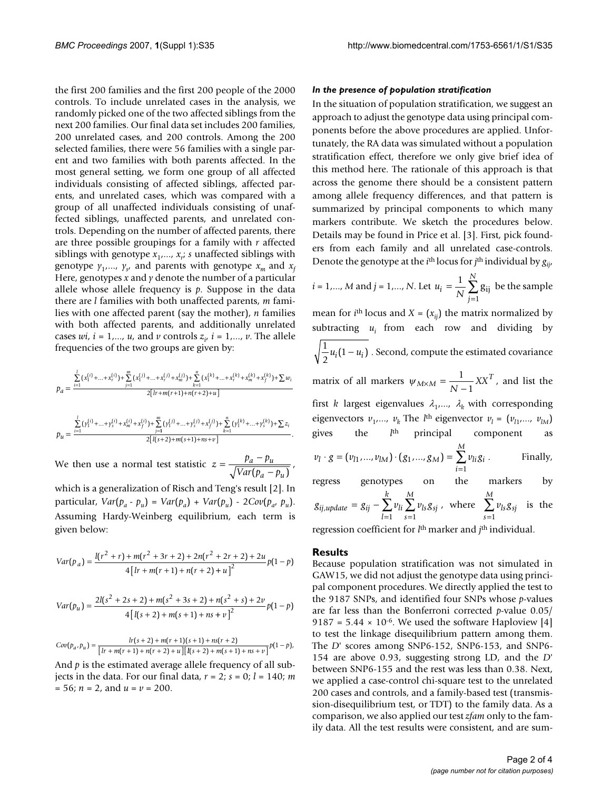the first 200 families and the first 200 people of the 2000 controls. To include unrelated cases in the analysis, we randomly picked one of the two affected siblings from the next 200 families. Our final data set includes 200 families, 200 unrelated cases, and 200 controls. Among the 200 selected families, there were 56 families with a single parent and two families with both parents affected. In the most general setting, we form one group of all affected individuals consisting of affected siblings, affected parents, and unrelated cases, which was compared with a group of all unaffected individuals consisting of unaffected siblings, unaffected parents, and unrelated controls. Depending on the number of affected parents, there are three possible groupings for a family with *r* affected siblings with genotype *x*1,..., *xr* ; *s* unaffected siblings with genotype  $\gamma_1$ ,...,  $\gamma_s$ , and parents with genotype  $x_m$  and  $x_f$ Here, genotypes *x* and *y* denote the number of a particular allele whose allele frequency is  $p$ . Suppose in the data there are *l* families with both unaffected parents, *m* families with one affected parent (say the mother), *n* families with both affected parents, and additionally unrelated cases  $wi$ ,  $i = 1,..., u$ , and  $v$  controls  $z_i$ ,  $i = 1,..., v$ . The allele frequencies of the two groups are given by:

$$
p_a = \frac{\sum_{i=1}^{l} (x_1^{(i)} + ... + x_r^{(i)}) + \sum_{j=1}^{m} (x_1^{(j)} + ... + x_r^{(j)}) + \sum_{k=1}^{n} (x_1^{(k)} + ... + x_r^{(k)} + x_m^{(k)}) + \sum w_i}{2[r + m(r+1) + n(r+2) + u]}
$$

$$
p_u = \frac{\sum\limits_{i=1}^{l} (y_1^{(i)} + ... + y_s^{(i)} + x_m^{(i)} + x_f^{(i)}) + \sum\limits_{j=1}^{m} (y_1^{(j)} + ... + y_s^{(j)} + x_f^{(j)}) + \sum\limits_{k=1}^{n} (y_1^{(k)} + ... + y_s^{(k)}) + \sum z_i}{2[l(s+2) + m(s+1) + ns + v]}.
$$

We then use a normal test statistic  $z = \frac{p_a - p_u}{\sqrt{r_a^2 + r_a^2}}$ ,  $Var(p_a - p$  $a - \mu_u$  $a - \mu_u$  $=\frac{p_a - p_a}{\sqrt{1-\frac{1}{2}}\left(\frac{p_a}{p_a}\right)^2}$  $(p_a - p_u)$ 

which is a generalization of Risch and Teng's result [2]. In particular,  $Var(p_a - p_u) = Var(p_a) + Var(p_u) - 2Cov(p_a, p_u)$ . Assuming Hardy-Weinberg equilibrium, each term is given below:

$$
Var(p_a) = \frac{l(r^2 + r) + m(r^2 + 3r + 2) + 2n(r^2 + 2r + 2) + 2u}{4[lr + m(r + 1) + n(r + 2) + u]^2}p(1 - p)
$$

$$
Var(p_u) = \frac{2l(s^2 + 2s + 2) + m(s^2 + 3s + 2) + n(s^2 + s) + 2v}{4[l(s+2) + m(s+1) + ns + v]^2} p(1-p)
$$

$$
Cov(p_a, p_u) = \frac{lr(s + 2) + m(r + 1)(s + 1) + ns(r + 2)}{[lr + m(r + 1) + n(r + 2) + u][l(s + 2) + m(s + 1) + ns + v]}p(1 - p),
$$

And  $p$  is the estimated average allele frequency of all subjects in the data. For our final data,  $r = 2$ ;  $s = 0$ ;  $l = 140$ ; *m*  $= 56; n = 2, \text{ and } u = v = 200.$ 

#### *In the presence of population stratification*

In the situation of population stratification, we suggest an approach to adjust the genotype data using principal components before the above procedures are applied. Unfortunately, the RA data was simulated without a population stratification effect, therefore we only give brief idea of this method here. The rationale of this approach is that across the genome there should be a consistent pattern among allele frequency differences, and that pattern is summarized by principal components to which many markers contribute. We sketch the procedures below. Details may be found in Price et al. [3]. First, pick founders from each family and all unrelated case-controls. Denote the genotype at the *i*<sup>th</sup> locus for *j*<sup>th</sup> individual by  $g_{ii}$ ,

*i* = 1,..., *M* and *j* = 1,..., *N*. Let 
$$
u_i = \frac{1}{N} \sum_{j=1}^{N} g_{ij}
$$
 be the sample

mean for *i*<sup>th</sup> locus and *X* =  $(x_{ij})$  the matrix normalized by subtracting  $u_i$  from each row and dividing by  $\frac{1}{2}u_i(1-u_i)$  . Second, compute the estimated covariance matrix of all markers  $\psi_{M \times M} = \frac{1}{N-1} XX^{T}$ , and list the  $\frac{1}{2}u_i(1-u_i)$ 1

first *k* largest eigenvalues  $\lambda_1$ ,...,  $\lambda_k$  with corresponding eigenvectors  $v_1$ ,...,  $v_k$  The *l*<sup>th</sup> eigenvector  $v_l = (v_{l1},..., v_{lM})$ gives the  $l<sup>th</sup>$  principal component . Finally,  $v_l \cdot g = (v_{l1}, ..., v_{lM}) \cdot (g_1, ..., g_M) = \sum v_{li} g_i$ *i M*  $g = (v_{l1},...,v_{lM}) \cdot (g_1,...,g_M) =$  $(v_{l1},...,v_{lM})\cdot (g_1,...,g_M)=\sum_{i=1}$ 1

regress genotypes on the markers by 
$$
g_{ij,update} = g_{ij} - \sum_{l=1}^{k} v_{li} \sum_{s=1}^{M} v_{ls} g_{sj}
$$
, where  $\sum_{s=1}^{M} v_{ls} g_{sj}$  is the

regression coefficient for *l*th marker and *j*th individual.

#### **Results**

Because population stratification was not simulated in GAW15, we did not adjust the genotype data using principal component procedures. We directly applied the test to the 9187 SNPs, and identified four SNPs whose *p*-values are far less than the Bonferroni corrected *p*-value 0.05/ 9187 = 5.44  $\times$  10<sup>-6</sup>. We used the software Haploview [4] to test the linkage disequilibrium pattern among them. The *D*' scores among SNP6-152, SNP6-153, and SNP6- 154 are above 0.93, suggesting strong LD, and the *D*' between SNP6-155 and the rest was less than 0.38. Next, we applied a case-control chi-square test to the unrelated 200 cases and controls, and a family-based test (transmission-disequilibrium test, or TDT) to the family data. As a comparison, we also applied our test *zfam* only to the family data. All the test results were consistent, and are sum-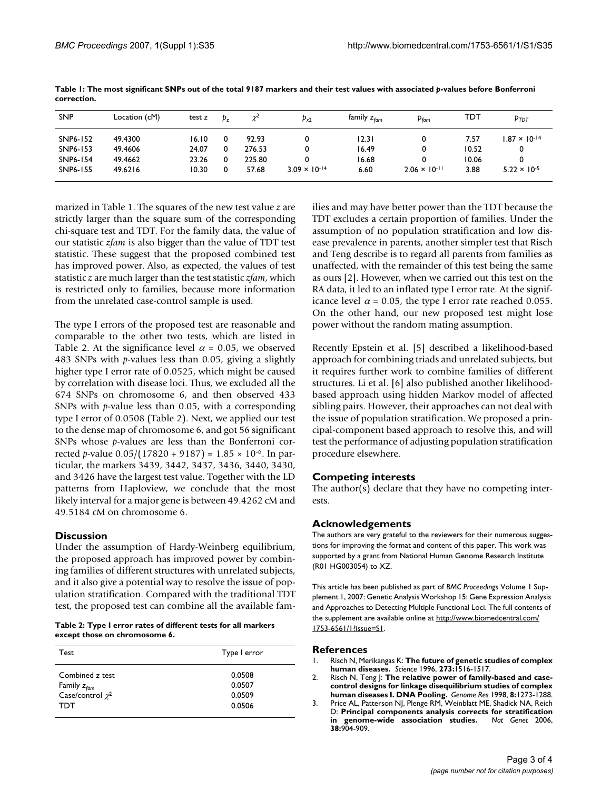| <b>SNP</b> | Location (cM) | test z | $p_{z}$ | χŁ     | $P_{x2}$               | family z <sub>fam</sub> | $p_{\text{fam}}$       | TDT   | P <sub>TDT</sub>       |
|------------|---------------|--------|---------|--------|------------------------|-------------------------|------------------------|-------|------------------------|
| SNP6-152   | 49.4300       | 16.10  |         | 92.93  |                        | 12.31                   |                        | 7.57  | $1.87 \times 10^{-14}$ |
| SNP6-153   | 49.4606       | 24.07  |         | 276.53 |                        | 16.49                   |                        | 10.52 | 0                      |
| SNP6-154   | 49.4662       | 23.26  |         | 225.80 |                        | 16.68                   |                        | 10.06 | 0                      |
| SNP6-155   | 49.6216       | 10.30  |         | 57.68  | $3.09 \times 10^{-14}$ | 6.60                    | $2.06 \times 10^{-11}$ | 3.88  | $5.22 \times 10^{-5}$  |

**Table 1: The most significant SNPs out of the total 9187 markers and their test values with associated** *p***-values before Bonferroni correction.**

marized in Table 1. The squares of the new test value *z* are strictly larger than the square sum of the corresponding chi-square test and TDT. For the family data, the value of our statistic *zfam* is also bigger than the value of TDT test statistic. These suggest that the proposed combined test has improved power. Also, as expected, the values of test statistic *z* are much larger than the test statistic *zfam*, which is restricted only to families, because more information from the unrelated case-control sample is used.

The type I errors of the proposed test are reasonable and comparable to the other two tests, which are listed in Table 2. At the significance level  $\alpha$  = 0.05, we observed 483 SNPs with *p*-values less than 0.05, giving a slightly higher type I error rate of 0.0525, which might be caused by correlation with disease loci. Thus, we excluded all the 674 SNPs on chromosome 6, and then observed 433 SNPs with *p*-value less than 0.05, with a corresponding type I error of 0.0508 (Table 2). Next, we applied our test to the dense map of chromosome 6, and got 56 significant SNPs whose *p*-values are less than the Bonferroni corrected *p*-value 0.05/(17820 + 9187) = 1.85 × 10-6. In particular, the markers 3439, 3442, 3437, 3436, 3440, 3430, and 3426 have the largest test value. Together with the LD patterns from Haploview, we conclude that the most likely interval for a major gene is between 49.4262 cM and 49.5184 cM on chromosome 6.

# **Discussion**

Under the assumption of Hardy-Weinberg equilibrium, the proposed approach has improved power by combining families of different structures with unrelated subjects, and it also give a potential way to resolve the issue of population stratification. Compared with the traditional TDT test, the proposed test can combine all the available fam-

**Table 2: Type I error rates of different tests for all markers except those on chromosome 6.**

| Test                                             | Type I error     |  |  |  |
|--------------------------------------------------|------------------|--|--|--|
| Combined z test                                  | 0.0508           |  |  |  |
| Family $z_{\text{fam}}$<br>Case/control $\chi^2$ | 0.0507<br>0.0509 |  |  |  |
| TDT                                              | 0.0506           |  |  |  |

ilies and may have better power than the TDT because the TDT excludes a certain proportion of families. Under the assumption of no population stratification and low disease prevalence in parents, another simpler test that Risch and Teng describe is to regard all parents from families as unaffected, with the remainder of this test being the same as ours [2]. However, when we carried out this test on the RA data, it led to an inflated type I error rate. At the significance level  $\alpha$  = 0.05, the type I error rate reached 0.055. On the other hand, our new proposed test might lose power without the random mating assumption.

Recently Epstein et al. [5] described a likelihood-based approach for combining triads and unrelated subjects, but it requires further work to combine families of different structures. Li et al. [6] also published another likelihoodbased approach using hidden Markov model of affected sibling pairs. However, their approaches can not deal with the issue of population stratification. We proposed a principal-component based approach to resolve this, and will test the performance of adjusting population stratification procedure elsewhere.

# **Competing interests**

The author(s) declare that they have no competing interests.

# **Acknowledgements**

The authors are very grateful to the reviewers for their numerous suggestions for improving the format and content of this paper. This work was supported by a grant from National Human Genome Research Institute (R01 HG003054) to XZ.

This article has been published as part of *BMC Proceedings* Volume 1 Supplement 1, 2007: Genetic Analysis Workshop 15: Gene Expression Analysis and Approaches to Detecting Multiple Functional Loci. The full contents of the supplement are available online at [http://www.biomedcentral.com/](http://www.biomedcentral.com/1753-6561/1?issue=S1) [1753-6561/1?issue=S1.](http://www.biomedcentral.com/1753-6561/1?issue=S1)

# **References**

- 1. Risch N, Merikangas K: **[The future of genetic studies of complex](http://www.ncbi.nlm.nih.gov/entrez/query.fcgi?cmd=Retrieve&db=PubMed&dopt=Abstract&list_uids=8801636) [human diseases.](http://www.ncbi.nlm.nih.gov/entrez/query.fcgi?cmd=Retrieve&db=PubMed&dopt=Abstract&list_uids=8801636)** *Science* 1996, **273:**1516-1517.
- 2. Risch N, Teng J: **[The relative power of family-based and case](http://www.ncbi.nlm.nih.gov/entrez/query.fcgi?cmd=Retrieve&db=PubMed&dopt=Abstract&list_uids=9872982)[control designs for linkage disequilibrium studies of complex](http://www.ncbi.nlm.nih.gov/entrez/query.fcgi?cmd=Retrieve&db=PubMed&dopt=Abstract&list_uids=9872982) [human diseases I. DNA Pooling.](http://www.ncbi.nlm.nih.gov/entrez/query.fcgi?cmd=Retrieve&db=PubMed&dopt=Abstract&list_uids=9872982)** *Genome Res* 1998, **8:**1273-1288.
- 3. Price AL, Patterson NJ, Plenge RM, Weinblatt ME, Shadick NA, Reich D: **[Principal components analysis corrects for stratification](http://www.ncbi.nlm.nih.gov/entrez/query.fcgi?cmd=Retrieve&db=PubMed&dopt=Abstract&list_uids=16862161) [in genome-wide association studies.](http://www.ncbi.nlm.nih.gov/entrez/query.fcgi?cmd=Retrieve&db=PubMed&dopt=Abstract&list_uids=16862161)** *Nat Genet* 2006, **38:**904-909.